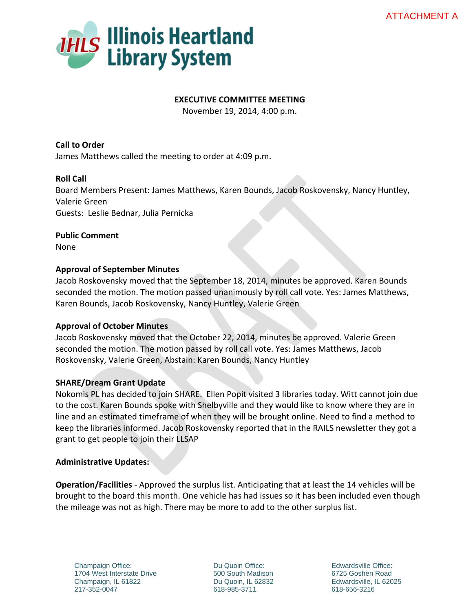

# **EXECUTIVE COMMITTEE MEETING**

November 19, 2014, 4:00 p.m.

**Call to Order** James Matthews called the meeting to order at 4:09 p.m.

# **Roll Call**

Board Members Present: James Matthews, Karen Bounds, Jacob Roskovensky, Nancy Huntley, Valerie Green Guests: Leslie Bednar, Julia Pernicka

**Public Comment** None

# **Approval of September Minutes**

Jacob Roskovensky moved that the September 18, 2014, minutes be approved. Karen Bounds seconded the motion. The motion passed unanimously by roll call vote. Yes: James Matthews, Karen Bounds, Jacob Roskovensky, Nancy Huntley, Valerie Green

## **Approval of October Minutes**

Jacob Roskovensky moved that the October 22, 2014, minutes be approved. Valerie Green seconded the motion. The motion passed by roll call vote. Yes: James Matthews, Jacob Roskovensky, Valerie Green, Abstain: Karen Bounds, Nancy Huntley

## **SHARE/Dream Grant Update**

Nokomis PL has decided to join SHARE. Ellen Popit visited 3 libraries today. Witt cannot join due to the cost. Karen Bounds spoke with Shelbyville and they would like to know where they are in line and an estimated timeframe of when they will be brought online. Need to find a method to keep the libraries informed. Jacob Roskovensky reported that in the RAILS newsletter they got a grant to get people to join their LLSAP

## **Administrative Updates:**

**Operation/Facilities** ‐ Approved the surplus list. Anticipating that at least the 14 vehicles will be brought to the board this month. One vehicle has had issues so it has been included even though the mileage was not as high. There may be more to add to the other surplus list.

Champaign Office: 1704 West Interstate Drive Champaign, IL 61822 217-352-0047

Du Quoin Office: 500 South Madison Du Quoin, IL 62832 618-985-3711

Edwardsville Office: 6725 Goshen Road Edwardsville, IL 62025 618-656-3216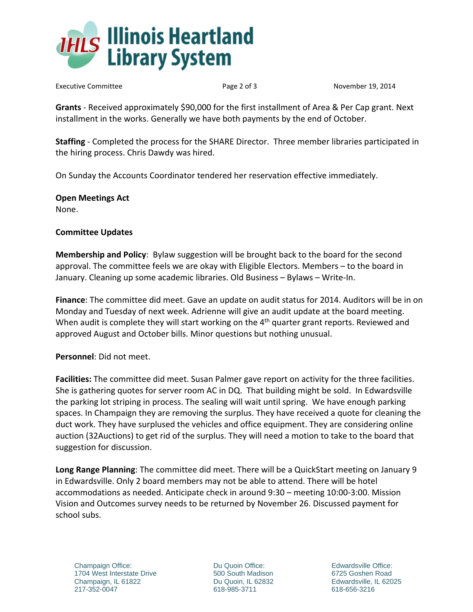

Executive Committee *Executive Committee*  **Committee Committee** *Secutive* Committee *Committee* **Committee Committee Committee Committee Committee Committee Committee Committee Committee Committe** 

**Grants** ‐ Received approximately \$90,000 for the first installment of Area & Per Cap grant. Next installment in the works. Generally we have both payments by the end of October.

**Staffing** ‐ Completed the process for the SHARE Director. Three member libraries participated in the hiring process. Chris Dawdy was hired.

On Sunday the Accounts Coordinator tendered her reservation effective immediately.

**Open Meetings Act** None.

# **Committee Updates**

**Membership and Policy**: Bylaw suggestion will be brought back to the board for the second approval. The committee feels we are okay with Eligible Electors. Members – to the board in January. Cleaning up some academic libraries. Old Business – Bylaws – Write‐In.

**Finance**: The committee did meet. Gave an update on audit status for 2014. Auditors will be in on Monday and Tuesday of next week. Adrienne will give an audit update at the board meeting. When audit is complete they will start working on the 4<sup>th</sup> quarter grant reports. Reviewed and approved August and October bills. Minor questions but nothing unusual.

**Personnel**: Did not meet.

**Facilities:** The committee did meet. Susan Palmer gave report on activity for the three facilities. She is gathering quotes for server room AC in DQ. That building might be sold. In Edwardsville the parking lot striping in process. The sealing will wait until spring. We have enough parking spaces. In Champaign they are removing the surplus. They have received a quote for cleaning the duct work. They have surplused the vehicles and office equipment. They are considering online auction (32Auctions) to get rid of the surplus. They will need a motion to take to the board that suggestion for discussion.

**Long Range Planning**: The committee did meet. There will be a QuickStart meeting on January 9 in Edwardsville. Only 2 board members may not be able to attend. There will be hotel accommodations as needed. Anticipate check in around 9:30 – meeting 10:00‐3:00. Mission Vision and Outcomes survey needs to be returned by November 26. Discussed payment for school subs.

Champaign Office: 1704 West Interstate Drive Champaign, IL 61822 217-352-0047

Du Quoin Office: 500 South Madison Du Quoin, IL 62832 618-985-3711

Edwardsville Office: 6725 Goshen Road Edwardsville, IL 62025 618-656-3216